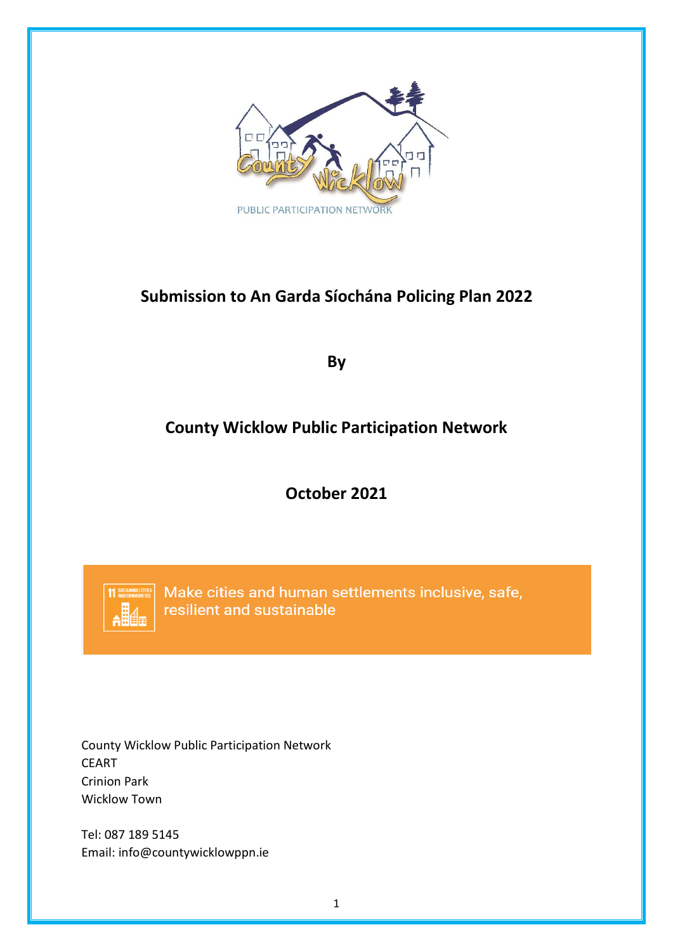

# **Submission to An Garda Síochána Policing Plan 2022**

**By**

# **County Wicklow Public Participation Network**

**October 2021**



Make cities and human settlements inclusive, safe, resilient and sustainable

County Wicklow Public Participation Network CEART Crinion Park Wicklow Town

Tel: 087 189 5145 Email: info@countywicklowppn.ie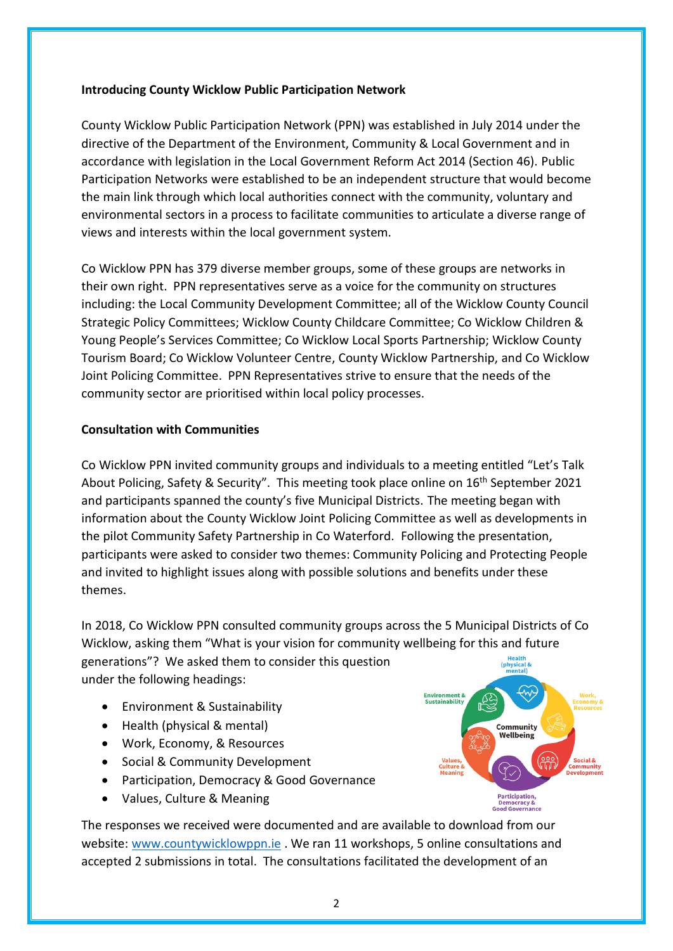#### **Introducing County Wicklow Public Participation Network**

County Wicklow Public Participation Network (PPN) was established in July 2014 under the directive of the Department of the Environment, Community & Local Government and in accordance with legislation in the Local Government Reform Act 2014 (Section 46). Public Participation Networks were established to be an independent structure that would become the main link through which local authorities connect with the community, voluntary and environmental sectors in a process to facilitate communities to articulate a diverse range of views and interests within the local government system.

Co Wicklow PPN has 379 diverse member groups, some of these groups are networks in their own right. PPN representatives serve as a voice for the community on structures including: the Local Community Development Committee; all of the Wicklow County Council Strategic Policy Committees; Wicklow County Childcare Committee; Co Wicklow Children & Young People's Services Committee; Co Wicklow Local Sports Partnership; Wicklow County Tourism Board; Co Wicklow Volunteer Centre, County Wicklow Partnership, and Co Wicklow Joint Policing Committee. PPN Representatives strive to ensure that the needs of the community sector are prioritised within local policy processes.

#### **Consultation with Communities**

Co Wicklow PPN invited community groups and individuals to a meeting entitled "Let's Talk About Policing, Safety & Security". This meeting took place online on 16<sup>th</sup> September 2021 and participants spanned the county's five Municipal Districts. The meeting began with information about the County Wicklow Joint Policing Committee as well as developments in the pilot Community Safety Partnership in Co Waterford. Following the presentation, participants were asked to consider two themes: Community Policing and Protecting People and invited to highlight issues along with possible solutions and benefits under these themes.

In 2018, Co Wicklow PPN consulted community groups across the 5 Municipal Districts of Co Wicklow, asking them "What is your vision for community wellbeing for this and future generations"? We asked them to consider this question  $\frac{1}{100}$ under the following headings:

- Environment & Sustainability
- Health (physical & mental)
- Work, Economy, & Resources
- Social & Community Development
- Participation, Democracy & Good Governance
- Values, Culture & Meaning

The responses we received were documented and are available to download from our website: [www.countywicklowppn.ie](http://www.countywicklowppn.ie/). We ran 11 workshops, 5 online consultations and accepted 2 submissions in total. The consultations facilitated the development of an

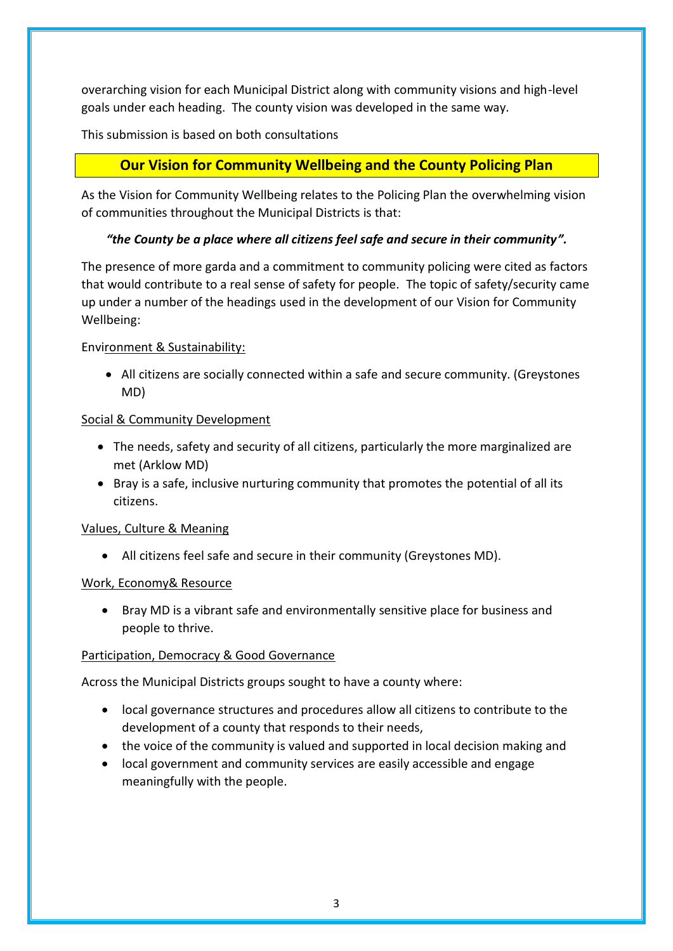overarching vision for each Municipal District along with community visions and high-level goals under each heading. The county vision was developed in the same way.

This submission is based on both consultations

## **Our Vision for Community Wellbeing and the County Policing Plan**

As the Vision for Community Wellbeing relates to the Policing Plan the overwhelming vision of communities throughout the Municipal Districts is that:

### *"the County be a place where all citizens feel safe and secure in their community".*

The presence of more garda and a commitment to community policing were cited as factors that would contribute to a real sense of safety for people. The topic of safety/security came up under a number of the headings used in the development of our Vision for Community Wellbeing:

### Environment & Sustainability:

• All citizens are socially connected within a safe and secure community. (Greystones MD)

### Social & Community Development

- The needs, safety and security of all citizens, particularly the more marginalized are met (Arklow MD)
- Bray is a safe, inclusive nurturing community that promotes the potential of all its citizens.

### Values, Culture & Meaning

• All citizens feel safe and secure in their community (Greystones MD).

### Work, Economy& Resource

• Bray MD is a vibrant safe and environmentally sensitive place for business and people to thrive.

### Participation, Democracy & Good Governance

Across the Municipal Districts groups sought to have a county where:

- local governance structures and procedures allow all citizens to contribute to the development of a county that responds to their needs,
- the voice of the community is valued and supported in local decision making and
- local government and community services are easily accessible and engage meaningfully with the people.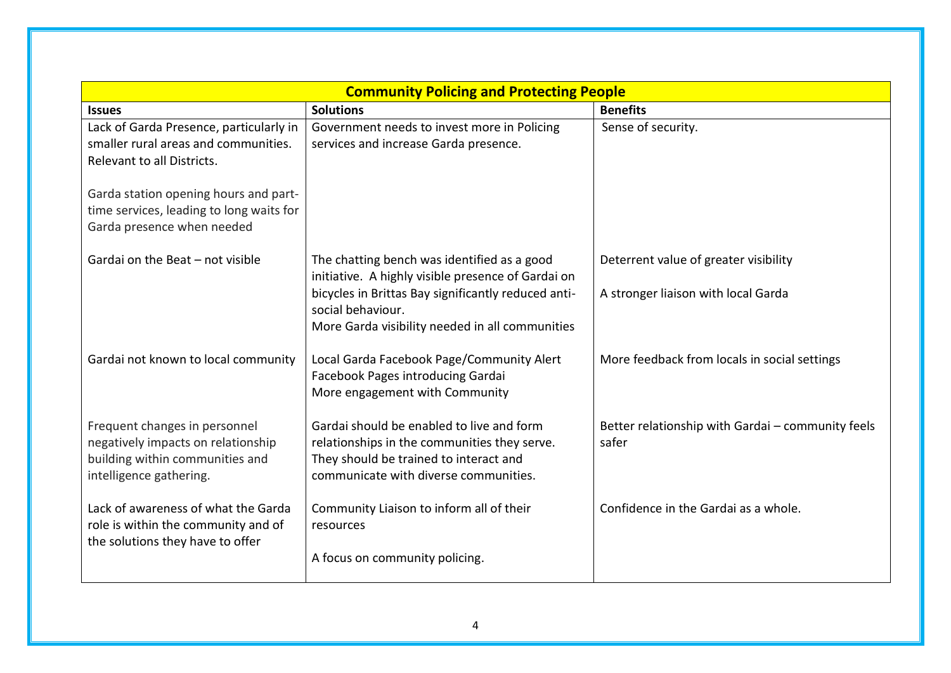| <b>Benefits</b><br><b>Solutions</b><br><b>Issues</b><br>Lack of Garda Presence, particularly in<br>Government needs to invest more in Policing<br>Sense of security.<br>smaller rural areas and communities.<br>services and increase Garda presence.<br>Relevant to all Districts.<br>Garda station opening hours and part-<br>time services, leading to long waits for<br>Garda presence when needed<br>Gardai on the Beat - not visible<br>The chatting bench was identified as a good<br>Deterrent value of greater visibility<br>initiative. A highly visible presence of Gardai on<br>bicycles in Brittas Bay significantly reduced anti-<br>A stronger liaison with local Garda<br>social behaviour.<br>More Garda visibility needed in all communities<br>Gardai not known to local community<br>Local Garda Facebook Page/Community Alert<br>More feedback from locals in social settings<br>Facebook Pages introducing Gardai<br>More engagement with Community<br>Gardai should be enabled to live and form<br>Frequent changes in personnel<br>Better relationship with Gardai - community feels<br>negatively impacts on relationship<br>relationships in the communities they serve.<br>safer<br>building within communities and<br>They should be trained to interact and<br>communicate with diverse communities.<br>intelligence gathering.<br>Lack of awareness of what the Garda<br>Confidence in the Gardai as a whole.<br>Community Liaison to inform all of their |                                     | <b>Community Policing and Protecting People</b> |  |
|-----------------------------------------------------------------------------------------------------------------------------------------------------------------------------------------------------------------------------------------------------------------------------------------------------------------------------------------------------------------------------------------------------------------------------------------------------------------------------------------------------------------------------------------------------------------------------------------------------------------------------------------------------------------------------------------------------------------------------------------------------------------------------------------------------------------------------------------------------------------------------------------------------------------------------------------------------------------------------------------------------------------------------------------------------------------------------------------------------------------------------------------------------------------------------------------------------------------------------------------------------------------------------------------------------------------------------------------------------------------------------------------------------------------------------------------------------------------------------------------|-------------------------------------|-------------------------------------------------|--|
|                                                                                                                                                                                                                                                                                                                                                                                                                                                                                                                                                                                                                                                                                                                                                                                                                                                                                                                                                                                                                                                                                                                                                                                                                                                                                                                                                                                                                                                                                         |                                     |                                                 |  |
|                                                                                                                                                                                                                                                                                                                                                                                                                                                                                                                                                                                                                                                                                                                                                                                                                                                                                                                                                                                                                                                                                                                                                                                                                                                                                                                                                                                                                                                                                         |                                     |                                                 |  |
|                                                                                                                                                                                                                                                                                                                                                                                                                                                                                                                                                                                                                                                                                                                                                                                                                                                                                                                                                                                                                                                                                                                                                                                                                                                                                                                                                                                                                                                                                         |                                     |                                                 |  |
|                                                                                                                                                                                                                                                                                                                                                                                                                                                                                                                                                                                                                                                                                                                                                                                                                                                                                                                                                                                                                                                                                                                                                                                                                                                                                                                                                                                                                                                                                         |                                     |                                                 |  |
|                                                                                                                                                                                                                                                                                                                                                                                                                                                                                                                                                                                                                                                                                                                                                                                                                                                                                                                                                                                                                                                                                                                                                                                                                                                                                                                                                                                                                                                                                         |                                     |                                                 |  |
|                                                                                                                                                                                                                                                                                                                                                                                                                                                                                                                                                                                                                                                                                                                                                                                                                                                                                                                                                                                                                                                                                                                                                                                                                                                                                                                                                                                                                                                                                         |                                     |                                                 |  |
|                                                                                                                                                                                                                                                                                                                                                                                                                                                                                                                                                                                                                                                                                                                                                                                                                                                                                                                                                                                                                                                                                                                                                                                                                                                                                                                                                                                                                                                                                         |                                     |                                                 |  |
|                                                                                                                                                                                                                                                                                                                                                                                                                                                                                                                                                                                                                                                                                                                                                                                                                                                                                                                                                                                                                                                                                                                                                                                                                                                                                                                                                                                                                                                                                         |                                     |                                                 |  |
|                                                                                                                                                                                                                                                                                                                                                                                                                                                                                                                                                                                                                                                                                                                                                                                                                                                                                                                                                                                                                                                                                                                                                                                                                                                                                                                                                                                                                                                                                         |                                     |                                                 |  |
|                                                                                                                                                                                                                                                                                                                                                                                                                                                                                                                                                                                                                                                                                                                                                                                                                                                                                                                                                                                                                                                                                                                                                                                                                                                                                                                                                                                                                                                                                         |                                     |                                                 |  |
|                                                                                                                                                                                                                                                                                                                                                                                                                                                                                                                                                                                                                                                                                                                                                                                                                                                                                                                                                                                                                                                                                                                                                                                                                                                                                                                                                                                                                                                                                         |                                     |                                                 |  |
|                                                                                                                                                                                                                                                                                                                                                                                                                                                                                                                                                                                                                                                                                                                                                                                                                                                                                                                                                                                                                                                                                                                                                                                                                                                                                                                                                                                                                                                                                         |                                     |                                                 |  |
|                                                                                                                                                                                                                                                                                                                                                                                                                                                                                                                                                                                                                                                                                                                                                                                                                                                                                                                                                                                                                                                                                                                                                                                                                                                                                                                                                                                                                                                                                         |                                     |                                                 |  |
|                                                                                                                                                                                                                                                                                                                                                                                                                                                                                                                                                                                                                                                                                                                                                                                                                                                                                                                                                                                                                                                                                                                                                                                                                                                                                                                                                                                                                                                                                         |                                     |                                                 |  |
|                                                                                                                                                                                                                                                                                                                                                                                                                                                                                                                                                                                                                                                                                                                                                                                                                                                                                                                                                                                                                                                                                                                                                                                                                                                                                                                                                                                                                                                                                         |                                     |                                                 |  |
|                                                                                                                                                                                                                                                                                                                                                                                                                                                                                                                                                                                                                                                                                                                                                                                                                                                                                                                                                                                                                                                                                                                                                                                                                                                                                                                                                                                                                                                                                         |                                     |                                                 |  |
|                                                                                                                                                                                                                                                                                                                                                                                                                                                                                                                                                                                                                                                                                                                                                                                                                                                                                                                                                                                                                                                                                                                                                                                                                                                                                                                                                                                                                                                                                         |                                     |                                                 |  |
|                                                                                                                                                                                                                                                                                                                                                                                                                                                                                                                                                                                                                                                                                                                                                                                                                                                                                                                                                                                                                                                                                                                                                                                                                                                                                                                                                                                                                                                                                         |                                     |                                                 |  |
|                                                                                                                                                                                                                                                                                                                                                                                                                                                                                                                                                                                                                                                                                                                                                                                                                                                                                                                                                                                                                                                                                                                                                                                                                                                                                                                                                                                                                                                                                         |                                     |                                                 |  |
|                                                                                                                                                                                                                                                                                                                                                                                                                                                                                                                                                                                                                                                                                                                                                                                                                                                                                                                                                                                                                                                                                                                                                                                                                                                                                                                                                                                                                                                                                         |                                     |                                                 |  |
|                                                                                                                                                                                                                                                                                                                                                                                                                                                                                                                                                                                                                                                                                                                                                                                                                                                                                                                                                                                                                                                                                                                                                                                                                                                                                                                                                                                                                                                                                         |                                     |                                                 |  |
|                                                                                                                                                                                                                                                                                                                                                                                                                                                                                                                                                                                                                                                                                                                                                                                                                                                                                                                                                                                                                                                                                                                                                                                                                                                                                                                                                                                                                                                                                         | role is within the community and of | resources                                       |  |
| the solutions they have to offer                                                                                                                                                                                                                                                                                                                                                                                                                                                                                                                                                                                                                                                                                                                                                                                                                                                                                                                                                                                                                                                                                                                                                                                                                                                                                                                                                                                                                                                        |                                     |                                                 |  |
| A focus on community policing.                                                                                                                                                                                                                                                                                                                                                                                                                                                                                                                                                                                                                                                                                                                                                                                                                                                                                                                                                                                                                                                                                                                                                                                                                                                                                                                                                                                                                                                          |                                     |                                                 |  |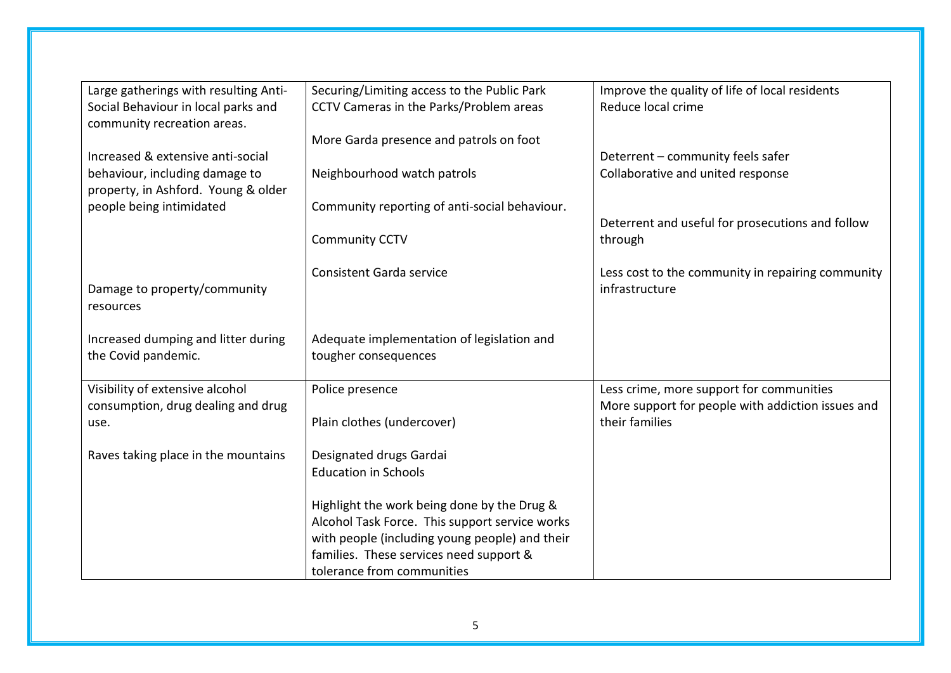| Large gatherings with resulting Anti-                              | Securing/Limiting access to the Public Park    | Improve the quality of life of local residents                      |
|--------------------------------------------------------------------|------------------------------------------------|---------------------------------------------------------------------|
| Social Behaviour in local parks and<br>community recreation areas. | CCTV Cameras in the Parks/Problem areas        | Reduce local crime                                                  |
|                                                                    | More Garda presence and patrols on foot        |                                                                     |
| Increased & extensive anti-social                                  |                                                | Deterrent - community feels safer                                   |
| behaviour, including damage to                                     | Neighbourhood watch patrols                    | Collaborative and united response                                   |
| property, in Ashford. Young & older                                |                                                |                                                                     |
| people being intimidated                                           | Community reporting of anti-social behaviour.  |                                                                     |
|                                                                    |                                                | Deterrent and useful for prosecutions and follow                    |
|                                                                    | <b>Community CCTV</b>                          | through                                                             |
|                                                                    | <b>Consistent Garda service</b>                | Less cost to the community in repairing community                   |
| Damage to property/community                                       |                                                | infrastructure                                                      |
| resources                                                          |                                                |                                                                     |
|                                                                    |                                                |                                                                     |
| Increased dumping and litter during                                | Adequate implementation of legislation and     |                                                                     |
| the Covid pandemic.                                                | tougher consequences                           |                                                                     |
|                                                                    |                                                |                                                                     |
| Visibility of extensive alcohol                                    | Police presence                                | Less crime, more support for communities                            |
| consumption, drug dealing and drug<br>use.                         | Plain clothes (undercover)                     | More support for people with addiction issues and<br>their families |
|                                                                    |                                                |                                                                     |
| Raves taking place in the mountains                                | Designated drugs Gardai                        |                                                                     |
|                                                                    | <b>Education in Schools</b>                    |                                                                     |
|                                                                    |                                                |                                                                     |
|                                                                    | Highlight the work being done by the Drug &    |                                                                     |
|                                                                    | Alcohol Task Force. This support service works |                                                                     |
|                                                                    | with people (including young people) and their |                                                                     |
|                                                                    | families. These services need support &        |                                                                     |
|                                                                    | tolerance from communities                     |                                                                     |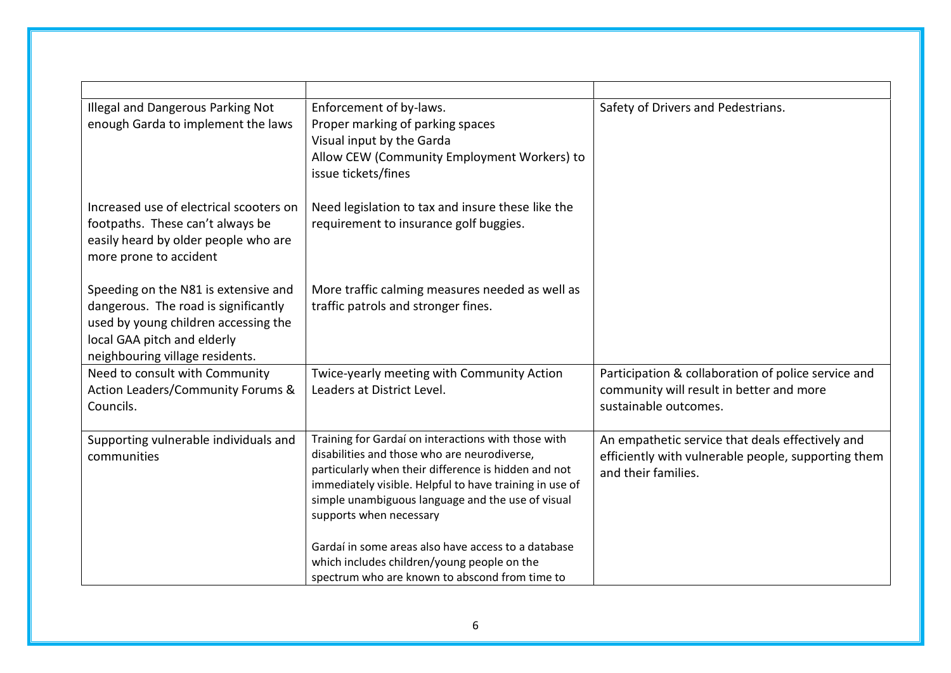| Illegal and Dangerous Parking Not<br>enough Garda to implement the laws                                                                                                                | Enforcement of by-laws.<br>Proper marking of parking spaces<br>Visual input by the Garda<br>Allow CEW (Community Employment Workers) to<br>issue tickets/fines                                                                                                                                         | Safety of Drivers and Pedestrians.                                                                                             |
|----------------------------------------------------------------------------------------------------------------------------------------------------------------------------------------|--------------------------------------------------------------------------------------------------------------------------------------------------------------------------------------------------------------------------------------------------------------------------------------------------------|--------------------------------------------------------------------------------------------------------------------------------|
| Increased use of electrical scooters on<br>footpaths. These can't always be<br>easily heard by older people who are<br>more prone to accident                                          | Need legislation to tax and insure these like the<br>requirement to insurance golf buggies.                                                                                                                                                                                                            |                                                                                                                                |
| Speeding on the N81 is extensive and<br>dangerous. The road is significantly<br>used by young children accessing the<br>local GAA pitch and elderly<br>neighbouring village residents. | More traffic calming measures needed as well as<br>traffic patrols and stronger fines.                                                                                                                                                                                                                 |                                                                                                                                |
| Need to consult with Community<br>Action Leaders/Community Forums &<br>Councils.                                                                                                       | Twice-yearly meeting with Community Action<br>Leaders at District Level.                                                                                                                                                                                                                               | Participation & collaboration of police service and<br>community will result in better and more<br>sustainable outcomes.       |
| Supporting vulnerable individuals and<br>communities                                                                                                                                   | Training for Gardaí on interactions with those with<br>disabilities and those who are neurodiverse,<br>particularly when their difference is hidden and not<br>immediately visible. Helpful to have training in use of<br>simple unambiguous language and the use of visual<br>supports when necessary | An empathetic service that deals effectively and<br>efficiently with vulnerable people, supporting them<br>and their families. |
|                                                                                                                                                                                        | Gardaí in some areas also have access to a database<br>which includes children/young people on the<br>spectrum who are known to abscond from time to                                                                                                                                                   |                                                                                                                                |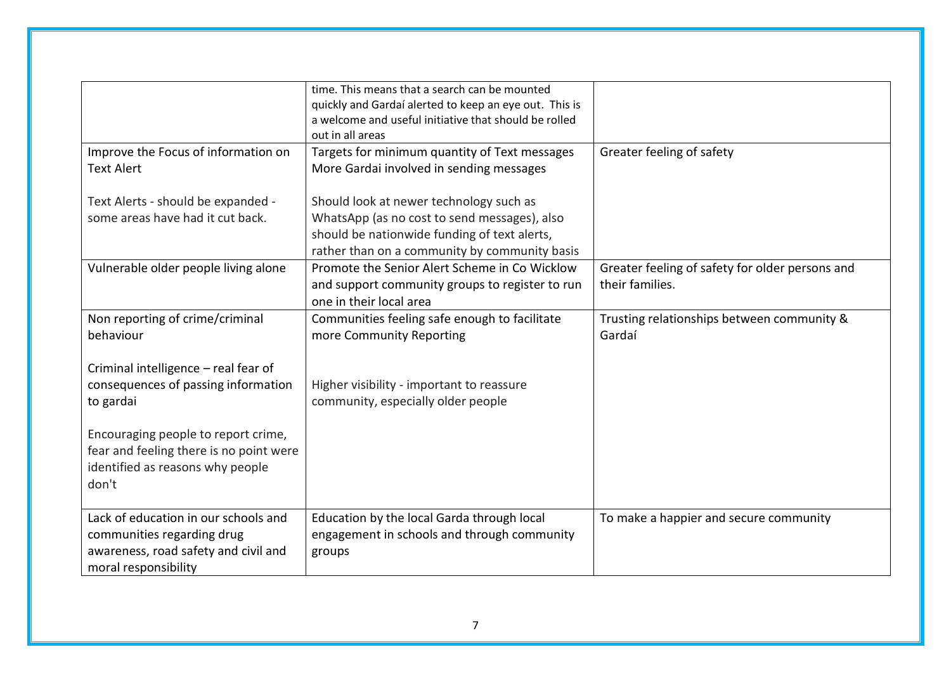|                                                                                                                                                                                                                         | time. This means that a search can be mounted<br>quickly and Gardaí alerted to keep an eye out. This is<br>a welcome and useful initiative that should be rolled<br>out in all areas |                                                 |
|-------------------------------------------------------------------------------------------------------------------------------------------------------------------------------------------------------------------------|--------------------------------------------------------------------------------------------------------------------------------------------------------------------------------------|-------------------------------------------------|
|                                                                                                                                                                                                                         |                                                                                                                                                                                      |                                                 |
| Improve the Focus of information on                                                                                                                                                                                     | Targets for minimum quantity of Text messages                                                                                                                                        | Greater feeling of safety                       |
| <b>Text Alert</b>                                                                                                                                                                                                       | More Gardai involved in sending messages                                                                                                                                             |                                                 |
| Text Alerts - should be expanded -                                                                                                                                                                                      | Should look at newer technology such as                                                                                                                                              |                                                 |
| some areas have had it cut back.                                                                                                                                                                                        | WhatsApp (as no cost to send messages), also                                                                                                                                         |                                                 |
|                                                                                                                                                                                                                         | should be nationwide funding of text alerts,                                                                                                                                         |                                                 |
|                                                                                                                                                                                                                         |                                                                                                                                                                                      |                                                 |
|                                                                                                                                                                                                                         | rather than on a community by community basis                                                                                                                                        |                                                 |
| Vulnerable older people living alone                                                                                                                                                                                    | Promote the Senior Alert Scheme in Co Wicklow                                                                                                                                        | Greater feeling of safety for older persons and |
|                                                                                                                                                                                                                         | and support community groups to register to run                                                                                                                                      | their families.                                 |
|                                                                                                                                                                                                                         | one in their local area                                                                                                                                                              |                                                 |
| Non reporting of crime/criminal                                                                                                                                                                                         | Communities feeling safe enough to facilitate                                                                                                                                        | Trusting relationships between community &      |
| behaviour                                                                                                                                                                                                               | more Community Reporting                                                                                                                                                             | Gardaí                                          |
| Criminal intelligence - real fear of<br>consequences of passing information<br>to gardai<br>Encouraging people to report crime,<br>fear and feeling there is no point were<br>identified as reasons why people<br>don't | Higher visibility - important to reassure<br>community, especially older people                                                                                                      |                                                 |
|                                                                                                                                                                                                                         |                                                                                                                                                                                      |                                                 |
| Lack of education in our schools and<br>communities regarding drug<br>awareness, road safety and civil and<br>moral responsibility                                                                                      | Education by the local Garda through local<br>engagement in schools and through community<br>groups                                                                                  | To make a happier and secure community          |